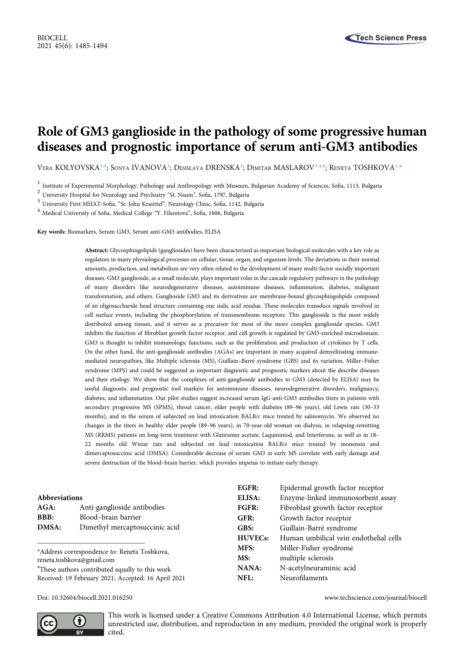# Role of GM3 ganglioside in the pathology of some progressive human diseases and prognostic importance of serum anti-GM3 antibodies

Vera KOLYOVSKA<sup>[1,#](#page-0-0)</sup>; Sonya IVANOVA<sup>[2](#page-0-1)</sup>; Desislava DRENSKA<sup>[3](#page-0-2)</sup>; Dimitar MASLAROV<sup>[3,](#page-0-2)[4,#](#page-0-3)</sup>; Reneta TOSHKOVA<sup>[1,](#page-0-0)\*</sup>

<span id="page-0-0"></span> $^1$  Institute of Experimental Morphology, Pathology and Anthropology with Museum, Bulgarian Academy of Sciences, Sofia, 1113, Bulgaria $^2$ University Hospital for Neurology and Psychiatry "St. Naum", Sofia, 1797, Bulgaria

<span id="page-0-1"></span>

<span id="page-0-2"></span>

<span id="page-0-3"></span>

Key words: Biomarkers, Serum GM3, Serum anti-GM3 antibodies, ELISA

Abstract: Glycosphingolipids (gangliosides) have been characterized as important biological molecules with a key role as regulators in many physiological processes on cellular, tissue, organ, and organism levels. The deviations in their normal amounts, production, and metabolism are very often related to the development of many multi-factor socially important diseases. GM3 ganglioside, as a small molecule, plays important roles in the cascade regulatory pathways in the pathology of many disorders like neurodegenerative diseases, autoimmune diseases, inflammation, diabetes, malignant transformation, and others. Ganglioside GM3 and its derivatives are membrane-bound glycosphingolipids composed of an oligosaccharide head structure containing one sialic acid residue. These molecules transduce signals involved in cell surface events, including the phosphorylation of transmembrane receptors. This ganglioside is the most widely distributed among tissues, and it serves as a precursor for most of the more complex ganglioside species. GM3 inhibits the function of fibroblast growth factor receptor, and cell growth is regulated by GM3-enriched microdomain. GM3 is thought to inhibit immunologic functions, such as the proliferation and production of cytokines by T cells. On the other hand, the anti-ganglioside antibodies (AGAs) are important in many acquired demyelinating immunemediated neuropathies, like Multiple sclerosis (MS), Guillain–Barré syndrome (GBS) and its variation, Miller–Fisher syndrome (MFS) and could be suggested as important diagnostic and prognostic markers about the describe diseases and their etiology. We show that the complexes of anti-ganglioside antibodies to GM3 (detected by ELISA) may be useful diagnostic and prognostic tool markers for autoimmune diseases, neurodegenerative disorders, malignancy, diabetes, and inflammation. Our pilot studies suggest increased serum IgG anti-GM3 antibodies titers in patients with secondary progressive MS (SPMS), throat cancer, elder people with diabetes (89–96 years), old Lewis rats (30–33 months), and in the serum of subjected on lead intoxication BALB/c mice treated by salinomycin. We observed no changes in the titers in healthy elder people (89–96 years), in 70-year-old woman on dialysis, in relapsing-remitting MS (RRMS) patients on long-term treatment with Glatiramer acetate, Laquinimod, and Interferons, as well as in 18– 22 months old Wistar rats and subjected on lead intoxication BALB/c mice treated by monensin and dimercaptosuccinic acid (DMSA). Considerable decrease of serum GM3 in early MS correlate with early damage and severe destruction of the blood–brain barrier, which provides impetus to initiate early therapy.

|                                                                           |                                | EGFR:          | Epidermal growth factor receptor       |
|---------------------------------------------------------------------------|--------------------------------|----------------|----------------------------------------|
| <b>Abbreviations</b>                                                      |                                | ELISA:         | Enzyme-linked immunosorbent assay      |
| $AGA$ :                                                                   | Anti-ganglioside antibodies    | <b>FGFR:</b>   | Fibroblast growth factor receptor      |
| <b>BBB:</b>                                                               | Blood-brain barrier            | GFR:           | Growth factor receptor                 |
| DMSA:                                                                     | Dimethyl mercaptosuccinic acid | GBS:           | Guillain-Barré syndrome                |
|                                                                           |                                | <b>HUVECs:</b> | Human umbilical vein endothelial cells |
| *Address correspondence to: Reneta Toshkova,<br>reneta.toshkova@gmail.com |                                | MFS:           | Miller-Fisher syndrome                 |
|                                                                           |                                | MS:            | multiple sclerosis                     |
| "These authors contributed equally to this work                           |                                | NANA:          | N-acetylneuraminic acid                |
| Received: 19 February 2021; Accepted: 16 April 2021                       |                                | NFL:           | Neurofilaments                         |

Doi: [10.32604/biocell.2021.016250](http://dx.doi.org/10.32604/biocell.2021.016250) www.techscience.com/journal/biocell



This work is licensed under a Creative Commons Attribution 4.0 International License, which permits unrestricted use, distribution, and reproduction in any medium, provided the original work is properly cited.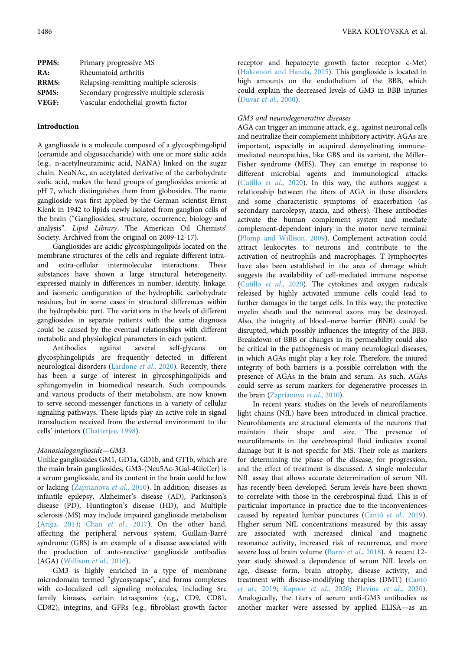| Primary progressive MS                   |
|------------------------------------------|
| Rheumatoid arthritis                     |
| Relapsing-remitting multiple sclerosis   |
| Secondary progressive multiple sclerosis |
| Vascular endothelial growth factor       |
|                                          |

## Introduction

A ganglioside is a molecule composed of a glycosphingolipid (ceramide and oligosaccharide) with one or more sialic acids (e.g., n-acetylneuraminic acid, NANA) linked on the sugar chain. NeuNAc, an acetylated derivative of the carbohydrate sialic acid, makes the head groups of gangliosides anionic at pH 7, which distinguishes them from globosides. The name ganglioside was first applied by the German scientist Ernst Klenk in 1942 to lipids newly isolated from ganglion cells of the brain ("Gangliosides, structure, occurrence, biology and analysis". Lipid Library. The American Oil Chemists' Society. Archived from the original on 2009-12-17).

Gangliosides are acidic glycosphingolipids located on the membrane structures of the cells and regulate different intraand extra-cellular intermolecular interactions. These substances have shown a large structural heterogeneity, expressed mainly in differences in number, identity, linkage, and isomeric configuration of the hydrophilic carbohydrate residues, but in some cases in structural differences within the hydrophobic part. The variations in the levels of different gangliosides in separate patients with the same diagnosis could be caused by the eventual relationships with different metabolic and physiological parameters in each patient.

Antibodies against several self-glycans on glycosphingolipids are frequently detected in different neurological disorders [\(Lardone](#page-7-0) et al., 2020). Recently, there has been a surge of interest in glycosphingolipids and sphingomyelin in biomedical research. Such compounds, and various products of their metabolism, are now known to serve second-messenger functions in a variety of cellular signaling pathways. These lipids play an active role in signal transduction received from the external environment to the cells' interiors [\(Chatterjee, 1998\)](#page-6-0).

#### Monosialoganglioside—GM3

Unlike gangliosides GM1, GD1a, GD1b, and GT1b, which are the main brain gangliosides, GM3-(Neu5Ac-3Gal-4GlcCer) is a serum ganglioside, and its content in the brain could be low or lacking ([Zaprianova](#page-9-0) et al., 2010). In addition, diseases as infantile epilepsy, Alzheimer's disease (AD), Parkinson's disease (PD), Huntington's disease (HD), and Multiple sclerosis (MS) may include impaired ganglioside metabolism ([Ariga, 2014;](#page-6-1) Chan et al[., 2017](#page-6-2)). On the other hand, affecting the peripheral nervous system, Guillain-Barré syndrome (GBS) is an example of a disease associated with the production of auto-reactive ganglioside antibodies (AGA) [\(Willison](#page-8-0) et al., 2016).

GM3 is highly enriched in a type of membrane microdomain termed "glycosynapse", and forms complexes with co-localized cell signaling molecules, including Src family kinases, certain tetraspanins (e.g., CD9, CD81, CD82), integrins, and GFRs (e.g., fibroblast growth factor

receptor and hepatocyte growth factor receptor c-Met) ([Hakomori and Handa, 2015](#page-6-3)). This ganglioside is located in high amounts on the endothelium of the BBB, which could explain the decreased levels of GM3 in BBB injuries (Duvar et al[., 2000\)](#page-6-4).

#### GM3 and neurodegenerative diseases

AGA can trigger an immune attack, e.g., against neuronal cells and neutralize their complement inhibitory activity. AGAs are important, especially in acquired demyelinating immunemediated neuropathies, like GBS and its variant, the Miller-Fisher syndrome (MFS). They can emerge in response to different microbial agents and immunological attacks (Cutillo et al[., 2020](#page-6-5)). In this way, the authors suggest a relationship between the titers of AGA in these disorders and some characteristic symptoms of exacerbation (as secondary narcolepsy, ataxia, and others). These antibodies activate the human complement system and mediate complement-dependent injury in the motor nerve terminal ([Plomp and Willison, 2009\)](#page-8-1). Complement activation could attract leukocytes to neurons and contribute to the activation of neutrophils and macrophages. T lymphocytes have also been established in the area of damage which suggests the availability of cell-mediated immune response (Cutillo et al[., 2020\)](#page-6-5). The cytokines and oxygen radicals released by highly activated immune cells could lead to further damages in the target cells. In this way, the protective myelin sheath and the neuronal axons may be destroyed. Also, the integrity of blood–nerve barrier (BNB) could be disrupted, which possibly influences the integrity of the BBB. Breakdown of BBB or changes in its permeability could also be critical in the pathogenesis of many neurological diseases, in which AGAs might play a key role. Therefore, the injured integrity of both barriers is a possible correlation with the presence of AGAs in the brain and serum. As such, AGAs could serve as serum markers for degenerative processes in the brain [\(Zaprianova](#page-9-0) et al., 2010).

In recent years, studies on the levels of neurofilaments light chains (NfL) have been introduced in clinical practice. Neurofilaments are structural elements of the neurons that maintain their shape and size. The presence of neurofilaments in the cerebrospinal fluid indicates axonal damage but it is not specific for MS. Their role as markers for determining the phase of the disease, for progression, and the effect of treatment is discussed. A single molecular NfL assay that allows accurate determination of serum NfL has recently been developed. Serum levels have been shown to correlate with those in the cerebrospinal fluid. This is of particular importance in practice due to the inconveniences caused by repeated lumbar punctures (Cantó et al[., 2019](#page-6-6)). Higher serum NfL concentrations measured by this assay are associated with increased clinical and magnetic resonance activity, increased risk of recurrence, and more severe loss of brain volume (Barro et al[., 2018](#page-6-7)). A recent 12year study showed a dependence of serum NfL levels on age, disease form, brain atrophy, disease activity, and treatment with disease-modifying therapies (DMT) [\(Cantó](#page-6-6) et al[., 2019;](#page-6-6) Kapoor et al[., 2020;](#page-7-1) Plavina et al[., 2020](#page-8-2)). Analogically, the titers of serum anti-GM3 antibodies as another marker were assessed by applied ELISA—as an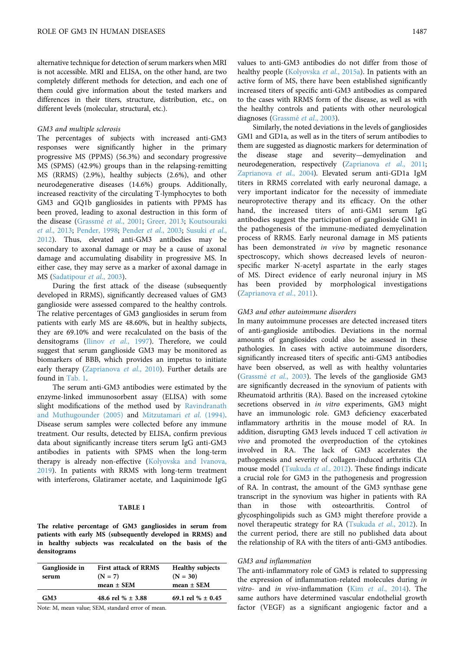alternative technique for detection of serum markers when MRI is not accessible. MRI and ELISA, on the other hand, are two completely different methods for detection, and each one of them could give information about the tested markers and differences in their titers, structure, distribution, etc., on different levels (molecular, structural, etc.).

#### GM3 and multiple sclerosis

The percentages of subjects with increased anti-GM3 responses were significantly higher in the primary progressive MS (PPMS) (56.3%) and secondary progressive MS (SPMS) (42.9%) groups than in the relapsing-remitting MS (RRMS) (2.9%), healthy subjects (2.6%), and other neurodegenerative diseases (14.6%) groups. Additionally, increased reactivity of the circulating T-lymphocytes to both GM3 and GQ1b gangliosides in patients with PPMS has been proved, leading to axonal destruction in this form of the disease ([Grassmé](#page-6-8) et al., 2001; [Greer, 2013](#page-6-9); [Koutsouraki](#page-7-2) et al[., 2013](#page-7-2); [Pender, 1998](#page-7-3); [Pender](#page-7-4) et al., 2003; [Susuki](#page-8-3) et al., [2012](#page-8-3)). Thus, elevated anti-GM3 antibodies may be secondary to axonal damage or may be a cause of axonal damage and accumulating disability in progressive MS. In either case, they may serve as a marker of axonal damage in MS [\(Sadatipour](#page-8-4) et al., 2003).

During the first attack of the disease (subsequently developed in RRMS), significantly decreased values of GM3 ganglioside were assessed compared to the healthy controls. The relative percentages of GM3 gangliosides in serum from patients with early MS are 48.60%, but in healthy subjects, they are 69.10% and were recalculated on the basis of the densitograms (Ilinov et al[., 1997](#page-6-10)). Therefore, we could suggest that serum ganglioside GM3 may be monitored as biomarkers of BBB, which provides an impetus to initiate early therapy [\(Zaprianova](#page-9-0) et al., 2010). Further details are found in [Tab. 1](#page-2-0).

The serum anti-GM3 antibodies were estimated by the enzyme-linked immunosorbent assay (ELISA) with some slight modifications of the method used by [Ravindranath](#page-8-5) [and Muthugounder \(2005\)](#page-8-5) and [Mitzutamari](#page-7-5) et al. (1994). Disease serum samples were collected before any immune treatment. Our results, detected by ELISA, confirm previous data about significantly increase titers serum IgG anti-GM3 antibodies in patients with SPMS when the long-term therapy is already non-effective ([Kolyovska and Ivanova,](#page-7-6) [2019](#page-7-6)). In patients with RRMS with long-term treatment with interferons, Glatiramer acetate, and Laquinimode IgG

## TABLE 1

<span id="page-2-0"></span>The relative percentage of GM3 gangliosides in serum from patients with early MS (subsequently developed in RRMS) and in healthy subjects was recalculated on the basis of the densitograms

| Ganglioside in<br>serum | <b>First attack of RRMS</b><br>$(N = 7)$<br>mean $\pm$ SEM | <b>Healthy subjects</b><br>$(N = 30)$<br>$mean \pm SEM$ |
|-------------------------|------------------------------------------------------------|---------------------------------------------------------|
| GM <sub>3</sub>         | 48.6 rel % $\pm$ 3.88                                      | 69.1 rel % $\pm$ 0.45                                   |
|                         |                                                            |                                                         |

Note: M, mean value; SEM, standard error of mean.

values to anti-GM3 antibodies do not differ from those of healthy people ([Kolyovska](#page-7-7) et al., 2015a). In patients with an active form of MS, there have been established significantly increased titers of specific anti-GM3 antibodies as compared to the cases with RRMS form of the disease, as well as with the healthy controls and patients with other neurological diagnoses [\(Grassmé](#page-6-11) et al., 2003).

Similarly, the noted deviations in the levels of gangliosides GM1 and GD1a, as well as in the titers of serum antibodies to them are suggested as diagnostic markers for determination of the disease stage and severity—demyelination and neurodegeneration, respectively ([Zaprianova](#page-8-6) et al., 2011; [Zaprianova](#page-9-1) et al., 2004). Elevated serum anti-GD1a IgM titers in RRMS correlated with early neuronal damage, a very important indicator for the necessity of immediate neuroprotective therapy and its efficacy. On the other hand, the increased titers of anti-GM1 serum IgG antibodies suggest the participation of ganglioside GM1 in the pathogenesis of the immune-mediated demyelination process of RRMS. Early neuronal damage in MS patients has been demonstrated in vivo by magnetic resonance spectroscopy, which shows decreased levels of neuronspecific marker N-acetyl aspartate in the early stages of MS. Direct evidence of early neuronal injury in MS has been provided by morphological investigations ([Zaprianova](#page-8-6) et al., 2011).

### GM3 and other autoimmune disorders

In many autoimmune processes are detected increased titers of anti-ganglioside antibodies. Deviations in the normal amounts of gangliosides could also be assessed in these pathologies. In cases with active autoimmune disorders, significantly increased titers of specific anti-GM3 antibodies have been observed, as well as with healthy voluntaries ([Grassmé](#page-6-11) et al., 2003). The levels of the ganglioside GM3 are significantly decreased in the synovium of patients with Rheumatoid arthritis (RA). Based on the increased cytokine secretions observed in *in vitro* experiments, GM3 might have an immunologic role. GM3 deficiency exacerbated inflammatory arthritis in the mouse model of RA. In addition, disrupting GM3 levels induced T cell activation in vivo and promoted the overproduction of the cytokines involved in RA. The lack of GM3 accelerates the pathogenesis and severity of collagen-induced arthritis CIA mouse model [\(Tsukuda](#page-8-7) et al., 2012). These findings indicate a crucial role for GM3 in the pathogenesis and progression of RA. In contrast, the amount of the GM3 synthase gene transcript in the synovium was higher in patients with RA than in those with osteoarthritis. Control of glycosphingolipids such as GM3 might therefore provide a novel therapeutic strategy for RA [\(Tsukuda](#page-8-7) et al., 2012). In the current period, there are still no published data about the relationship of RA with the titers of anti-GM3 antibodies.

#### GM3 and inflammation

The anti-inflammatory role of GM3 is related to suppressing the expression of inflammation-related molecules during in vitro- and in vivo-inflammation (Kim et al[., 2014\)](#page-7-8). The same authors have determined vascular endothelial growth factor (VEGF) as a significant angiogenic factor and a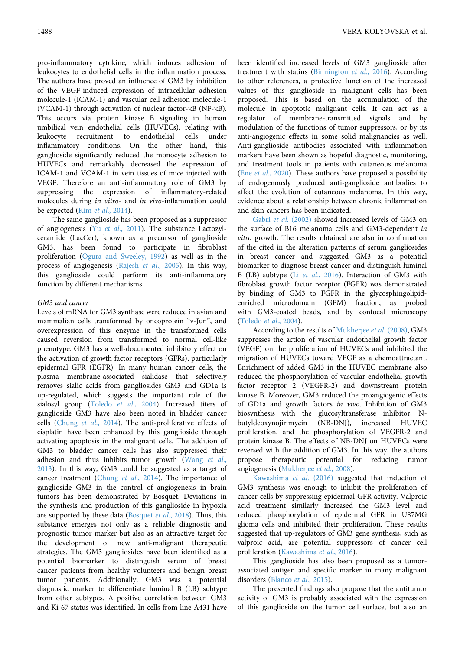pro-inflammatory cytokine, which induces adhesion of leukocytes to endothelial cells in the inflammation process. The authors have proved an influence of GM3 by inhibition of the VEGF-induced expression of intracellular adhesion molecule-1 (ICAM-1) and vascular cell adhesion molecule-1 (VCAM-1) through activation of nuclear factor-κB (NF-κB). This occurs via protein kinase B signaling in human umbilical vein endothelial cells (HUVECs), relating with leukocyte recruitment to endothelial cells under inflammatory conditions. On the other hand, this ganglioside significantly reduced the monocyte adhesion to

HUVECs and remarkably decreased the expression of ICAM-1 and VCAM-1 in vein tissues of mice injected with VEGF. Therefore an anti-inflammatory role of GM3 by suppressing the expression of inflammatory-related molecules during in vitro- and in vivo-inflammation could be expected (Kim et al[., 2014\)](#page-7-8).

The same ganglioside has been proposed as a suppressor of angiogenesis (Yu et al[., 2011\)](#page-8-8). The substance Lactozylceramide (LacCer), known as a precursor of ganglioside GM3, has been found to participate in fibroblast proliferation [\(Ogura and Sweeley, 1992](#page-7-9)) as well as in the process of angiogenesis (Rajesh et al[., 2005](#page-8-9)). In this way, this ganglioside could perform its anti-inflammatory function by different mechanisms.

#### GM3 and cancer

Levels of mRNA for GM3 synthase were reduced in avian and mammalian cells transformed by oncoprotein "v-Jun", and overexpression of this enzyme in the transformed cells caused reversion from transformed to normal cell-like phenotype. GM3 has a well-documented inhibitory effect on the activation of growth factor receptors (GFRs), particularly epidermal GFR (EGFR). In many human cancer cells, the plasma membrane-associated sialidase that selectively removes sialic acids from gangliosides GM3 and GD1a is up-regulated, which suggests the important role of the sialosyl group (Toledo et al[., 2004](#page-8-10)). Increased titers of ganglioside GM3 have also been noted in bladder cancer cells (Chung et al[., 2014\)](#page-6-12). The anti-proliferative effects of cisplatin have been enhanced by this ganglioside through activating apoptosis in the malignant cells. The addition of GM3 to bladder cancer cells has also suppressed their adhesion and thus inhibits tumor growth ([Wang](#page-8-11) et al., [2013](#page-8-11)). In this way, GM3 could be suggested as a target of cancer treatment (Chung et al[., 2014\)](#page-6-12). The importance of ganglioside GM3 in the control of angiogenesis in brain tumors has been demonstrated by Bosquet. Deviations in the synthesis and production of this ganglioside in hypoxia are supported by these data [\(Bosquet](#page-6-13) et al., 2018). Thus, this substance emerges not only as a reliable diagnostic and prognostic tumor marker but also as an attractive target for the development of new anti-malignant therapeutic strategies. The GM3 gangliosides have been identified as a potential biomarker to distinguish serum of breast cancer patients from healthy volunteers and benign breast tumor patients. Additionally, GM3 was a potential diagnostic marker to differentiate luminal B (LB) subtype from other subtypes. A positive correlation between GM3 and Ki-67 status was identified. In cells from line A431 have

been identified increased levels of GM3 ganglioside after treatment with statins ([Binnington](#page-6-14) et al., 2016). According to other references, a protective function of the increased values of this ganglioside in malignant cells has been proposed. This is based on the accumulation of the molecule in apoptotic malignant cells. It can act as a regulator of membrane-transmitted signals and by modulation of the functions of tumor suppressors, or by its anti-angiogenic effects in some solid malignancies as well. Anti-ganglioside antibodies associated with inflammation markers have been shown as hopeful diagnostic, monitoring, and treatment tools in patients with cutaneous melanoma (Ene et al[., 2020\)](#page-6-15). These authors have proposed a possibility of endogenously produced anti-ganglioside antibodies to affect the evolution of cutaneous melanoma. In this way, evidence about a relationship between chronic inflammation and skin cancers has been indicated.

Gabri et al[. \(2002\)](#page-6-16) showed increased levels of GM3 on the surface of B16 melanoma cells and GM3-dependent in vitro growth. The results obtained are also in confirmation of the cited in the alteration patterns of serum gangliosides in breast cancer and suggested GM3 as a potential biomarker to diagnose breast cancer and distinguish luminal B (LB) subtype (Li et al[., 2016\)](#page-7-10). Interaction of GM3 with fibroblast growth factor receptor (FGFR) was demonstrated by binding of GM3 to FGFR in the glycosphingolipidenriched microdomain (GEM) fraction, as probed with GM3-coated beads, and by confocal microscopy ([Toledo](#page-8-10) et al., 2004).

According to the results of [Mukherjee](#page-7-11) et al. (2008), GM3 suppresses the action of vascular endothelial growth factor (VEGF) on the proliferation of HUVECs and inhibited the migration of HUVECs toward VEGF as a chemoattractant. Enrichment of added GM3 in the HUVEC membrane also reduced the phosphorylation of vascular endothelial growth factor receptor 2 (VEGFR-2) and downstream protein kinase B. Moreover, GM3 reduced the proangiogenic effects of GD1a and growth factors in vivo. Inhibition of GM3 biosynthesis with the glucosyltransferase inhibitor, Nbutyldeoxynojirimycin (NB-DNJ), increased HUVEC proliferation, and the phosphorylation of VEGFR-2 and protein kinase B. The effects of NB-DNJ on HUVECs were reversed with the addition of GM3. In this way, the authors propose therapeutic potential for reducing tumor angiogenesis ([Mukherjee](#page-7-11) et al., 2008).

[Kawashima](#page-7-12) et al. (2016) suggested that induction of GM3 synthesis was enough to inhibit the proliferation of cancer cells by suppressing epidermal GFR activity. Valproic acid treatment similarly increased the GM3 level and reduced phosphorylation of epidermal GFR in U87MG glioma cells and inhibited their proliferation. These results suggested that up-regulators of GM3 gene synthesis, such as valproic acid, are potential suppressors of cancer cell proliferation ([Kawashima](#page-7-12) et al., 2016).

This ganglioside has also been proposed as a tumorassociated antigen and specific marker in many malignant disorders (Blanco et al[., 2015\)](#page-6-17).

The presented findings also propose that the antitumor activity of GM3 is probably associated with the expression of this ganglioside on the tumor cell surface, but also an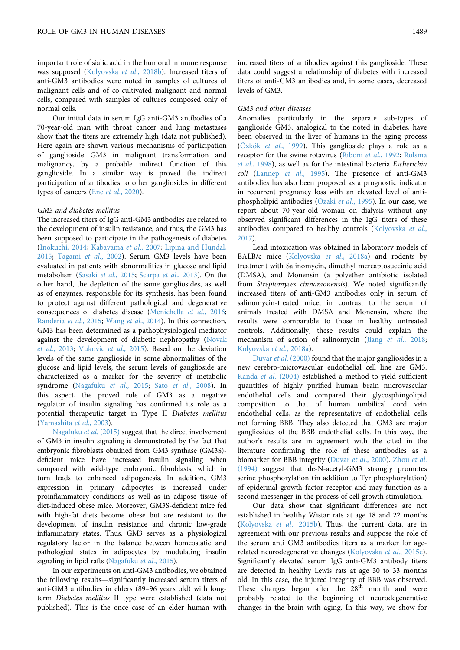important role of sialic acid in the humoral immune response was supposed [\(Kolyovska](#page-7-13) et al., 2018b). Increased titers of anti-GM3 antibodies were noted in samples of cultures of malignant cells and of co-cultivated malignant and normal cells, compared with samples of cultures composed only of normal cells.

Our initial data in serum IgG anti-GM3 antibodies of a 70-year-old man with throat cancer and lung metastases show that the titers are extremely high (data not published). Here again are shown various mechanisms of participation of ganglioside GM3 in malignant transformation and malignancy, by a probable indirect function of this ganglioside. In a similar way is proved the indirect participation of antibodies to other gangliosides in different types of cancers (Ene et al[., 2020\)](#page-6-15).

#### GM3 and diabetes mellitus

The increased titers of IgG anti-GM3 antibodies are related to the development of insulin resistance, and thus, the GM3 has been supposed to participate in the pathogenesis of diabetes ([Inokuchi, 2014](#page-6-18); [Kabayama](#page-6-19) et al., 2007; [Lipina and Hundal,](#page-7-14) [2015](#page-7-14); [Tagami](#page-8-12) et al., 2002). Serum GM3 levels have been evaluated in patients with abnormalities in glucose and lipid metabolism (Sasaki et al[., 2015;](#page-8-13) Scarpa et al[., 2013](#page-8-14)). On the other hand, the depletion of the same gangliosides, as well as of enzymes, responsible for its synthesis, has been found to protect against different pathological and degenerative consequences of diabetes disease [\(Menichella](#page-7-15) et al., 2016; [Randeria](#page-8-15) et al., 2015; Wang et al[., 2014](#page-8-16)). In this connection, GM3 has been determined as a pathophysiological mediator against the development of diabetic nephropathy [\(Novak](#page-7-16) et al[., 2013](#page-7-16); [Vukovic](#page-8-17) et al., 2015). Based on the deviation levels of the same ganglioside in some abnormalities of the glucose and lipid levels, the serum levels of ganglioside are characterized as a marker for the severity of metabolic syndrome [\(Nagafuku](#page-7-17) et al., 2015; Sato et al[., 2008](#page-8-18)). In this aspect, the proved role of GM3 as a negative regulator of insulin signaling has confirmed its role as a potential therapeutic target in Type II Diabetes mellitus ([Yamashita](#page-8-19) et al., 2003).

[Nagafuku](#page-7-17) et al. (2015) suggest that the direct involvement of GM3 in insulin signaling is demonstrated by the fact that embryonic fibroblasts obtained from GM3 synthase (GM3S) deficient mice have increased insulin signaling when compared with wild-type embryonic fibroblasts, which in turn leads to enhanced adipogenesis. In addition, GM3 expression in primary adipocytes is increased under proinflammatory conditions as well as in adipose tissue of diet-induced obese mice. Moreover, GM3S-deficient mice fed with high-fat diets become obese but are resistant to the development of insulin resistance and chronic low-grade inflammatory states. Thus, GM3 serves as a physiological regulatory factor in the balance between homeostatic and pathological states in adipocytes by modulating insulin signaling in lipid rafts ([Nagafuku](#page-7-17) et al., 2015).

In our experiments on anti-GM3 antibodies, we obtained the following results—significantly increased serum titers of anti-GM3 antibodies in elders (89–96 years old) with longterm Diabetes mellitus II type were established (data not published). This is the once case of an elder human with

increased titers of antibodies against this ganglioside. These data could suggest a relationship of diabetes with increased titers of anti-GM3 antibodies and, in some cases, decreased levels of GM3.

#### GM3 and other diseases

Anomalies particularly in the separate sub-types of ganglioside GM3, analogical to the noted in diabetes, have been observed in the liver of humans in the aging process (Özkök et al[., 1999](#page-7-18)). This ganglioside plays a role as a receptor for the swine rotavirus ([Riboni](#page-8-20) et al., 1992; [Rolsma](#page-8-21) et al[., 1998\)](#page-8-21), as well as for the intestinal bacteria Escherichia coli (Lanneр et al[., 1995\)](#page-7-19). The presence of anti-GM3 antibodies has also been proposed as a prognostic indicator in recurrent pregnancy loss with an elevated level of antiphospholipid antibodies (Ozaki et al[., 1995](#page-7-20)). In our case, we report about 70-year-old woman on dialysis without any observed significant differences in the IgG titers of these antibodies compared to healthy controls ([Kolyovska](#page-7-21) et al., [2017\)](#page-7-21).

Lead intoxication was obtained in laboratory models of BALB/c mice ([Kolyovska](#page-7-22) et al., 2018a) and rodents by treatment with Salinomycin, dimethyl mercaptosuccinic acid (DMSA), and Monensin (a polyether antibiotic isolated from Streptomyces cinnamonensis). We noted significantly increased titers of anti-GM3 antibodies only in serum of salinomycin-treated mice, in contrast to the serum of animals treated with DMSA and Monensin, where the results were comparable to those in healthy untreated controls. Additionally, these results could explain the mechanism of action of salinomycin (Jiang et al[., 2018;](#page-6-20) [Kolyovska](#page-7-22) et al., 2018a).

Duvar et al[. \(2000\)](#page-6-4) found that the major gangliosides in a new cerebro-microvascular endothelial cell line are GM3. Kanda et al[. \(2004\)](#page-6-21) established a method to yield sufficient quantities of highly purified human brain microvascular endothelial cells and compared their glycosphingolipid composition to that of human umbilical cord vein endothelial cells, as the representative of endothelial cells not forming BBB. They also detected that GM3 are major gangliosides of the BBB endothelial cells. In this way, the author's results are in agreement with the cited in the literature confirming the role of these antibodies as a biomarker for BBB integrity (Duvar et al[., 2000\)](#page-6-4). [Zhou](#page-9-2) et al. [\(1994\)](#page-9-2) suggest that de-N-acetyl-GM3 strongly promotes serine phosphorylation (in addition to Tyr phosphorylation) of epidermal growth factor receptor and may function as a second messenger in the process of cell growth stimulation.

Our data show that significant differences are not established in healthy Wistar rats at age 18 and 22 months ([Kolyovska](#page-7-23) et al., 2015b). Thus, the current data, are in agreement with our previous results and suppose the role of the serum anti GM3 antibodies titers as a marker for agerelated neurodegenerative changes [\(Kolyovska](#page-7-24) et al., 2015c). Significantly elevated serum IgG anti-GM3 antibody titers are detected in healthy Lewis rats at age 30 to 33 months old. In this case, the injured integrity of BBB was observed. These changes began after the  $28<sup>th</sup>$  month and were probably related to the beginning of neurodegenerative changes in the brain with aging. In this way, we show for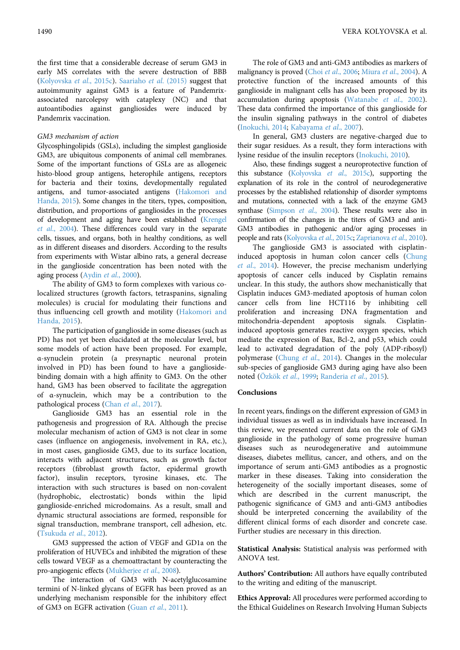the first time that a considerable decrease of serum GM3 in early MS correlates with the severe destruction of BBB ([Kolyovska](#page-7-24) et al., 2015c). [Saariaho](#page-8-22) et al. (2015) suggest that autoimmunity against GM3 is a feature of Pandemrixassociated narcolepsy with cataplexy (NC) and that autoantibodies against gangliosides were induced by Pandemrix vaccination.

#### GM3 mechanism of action

Glycosphingolipids (GSLs), including the simplest ganglioside GM3, are ubiquitous components of animal cell membranes. Some of the important functions of GSLs are as allogeneic histo-blood group antigens, heterophile antigens, receptors for bacteria and their toxins, developmentally regulated antigens, and tumor-associated antigens ([Hakomori and](#page-6-3) [Handa, 2015\)](#page-6-3). Some changes in the titers, types, composition, distribution, and proportions of gangliosides in the processes of development and aging have been established [\(Krengel](#page-7-25) et al[., 2004\)](#page-7-25). These differences could vary in the separate cells, tissues, and organs, both in healthy conditions, as well as in different diseases and disorders. According to the results from experiments with Wistar albino rats, a general decrease in the ganglioside concentration has been noted with the aging process (Aydin et al[., 2000](#page-6-22)).

The ability of GM3 to form complexes with various colocalized structures (growth factors, tetraspanins, signaling molecules) is crucial for modulating their functions and thus influencing cell growth and motility ([Hakomori and](#page-6-3) [Handa, 2015](#page-6-3)).

The participation of ganglioside in some diseases (such as PD) has not yet been elucidated at the molecular level, but some models of action have been proposed. For example, α-synuclein protein (a presynaptic neuronal protein involved in PD) has been found to have a gangliosidebinding domain with a high affinity to GM3. On the other hand, GM3 has been observed to facilitate the aggregation of α-synuclein, which may be a contribution to the pathological process (Chan et al[., 2017\)](#page-6-2).

Ganglioside GM3 has an essential role in the pathogenesis and progression of RA. Although the precise molecular mechanism of action of GM3 is not clear in some cases (influence on angiogenesis, involvement in RA, etc.), in most cases, ganglioside GM3, due to its surface location, interacts with adjacent structures, such as growth factor receptors (fibroblast growth factor, epidermal growth factor), insulin receptors, tyrosine kinases, etc. The interaction with such structures is based on non-covalent (hydrophobic, electrostatic) bonds within the lipid ganglioside-enriched microdomains. As a result, small and dynamic structural associations are formed, responsible for signal transduction, membrane transport, cell adhesion, etc. ([Tsukuda](#page-8-7) et al., 2012).

GM3 suppressed the action of VEGF and GD1a on the proliferation of HUVECs and inhibited the migration of these cells toward VEGF as a chemoattractant by counteracting the pro-angiogenic effects ([Mukherjee](#page-7-11) et al., 2008).

The interaction of GM3 with N-acetylglucosamine termini of N-linked glycans of EGFR has been proved as an underlying mechanism responsible for the inhibitory effect of GM3 on EGFR activation (Guan et al[., 2011](#page-6-23)).

The role of GM3 and anti-GM3 antibodies as markers of malignancy is proved (Choi et al[., 2006](#page-6-24); Miura et al[., 2004\)](#page-7-26). A protective function of the increased amounts of this ganglioside in malignant cells has also been proposed by its accumulation during apoptosis [\(Watanabe](#page-8-23) et al., 2002). These data confirmed the importance of this ganglioside for the insulin signaling pathways in the control of diabetes ([Inokuchi, 2014](#page-6-18); [Kabayama](#page-6-19) et al., 2007).

In general, GM3 clusters are negative-charged due to their sugar residues. As a result, they form interactions with lysine residue of the insulin receptors ([Inokuchi, 2010\)](#page-6-25).

Also, these findings suggest a neuroprotective function of this substance ([Kolyovska](#page-7-24) et al., 2015c), supporting the explanation of its role in the control of neurodegenerative processes by the established relationship of disorder symptoms and mutations, connected with a lack of the enzyme GM3 synthase ([Simpson](#page-8-24) et al., 2004). These results were also in confirmation of the changes in the titers of GM3 and anti-GM3 antibodies in pathogenic and/or aging processes in people and rats [\(Kolyovska](#page-7-24) et al., 2015c; [Zaprianova](#page-9-0) et al., 2010).

The ganglioside GM3 is associated with cisplatininduced apoptosis in human colon cancer cells ([Chung](#page-6-12) et al[., 2014](#page-6-12)). However, the precise mechanism underlying apoptosis of cancer cells induced by Cisplatin remains unclear. In this study, the authors show mechanistically that Cisplatin induces GM3-mediated apoptosis of human colon cancer cells from line HCT116 by inhibiting cell proliferation and increasing DNA fragmentation and mitochondria-dependent apoptosis signals. Cisplatininduced apoptosis generates reactive oxygen species, which mediate the expression of Bax, Bcl-2, and p53, which could lead to activated degradation of the poly (ADP-ribosyl) polymerase (Chung et al[., 2014\)](#page-6-12). Changes in the molecular sub-species of ganglioside GM3 during aging have also been noted (Özkök et al[., 1999;](#page-7-18) [Randeria](#page-8-15) et al., 2015).

#### Conclusions

In recent years, findings on the different expression of GM3 in individual tissues as well as in individuals have increased. In this review, we presented current data on the role of GM3 ganglioside in the pathology of some progressive human diseases such as neurodegenerative and autoimmune diseases, diabetes mellitus, cancer, and others, and on the importance of serum anti-GM3 antibodies as a prognostic marker in these diseases. Taking into consideration the heterogeneity of the socially important diseases, some of which are described in the current manuscript, the pathogenic significance of GM3 and anti-GM3 antibodies should be interpreted concerning the availability of the different clinical forms of each disorder and concrete case. Further studies are necessary in this direction.

Statistical Analysis: Statistical analysis was performed with ANOVA test.

Authors' Contribution: All authors have equally contributed to the writing and editing of the manuscript.

Ethics Approval: All procedures were performed according to the Ethical Guidelines on Research Involving Human Subjects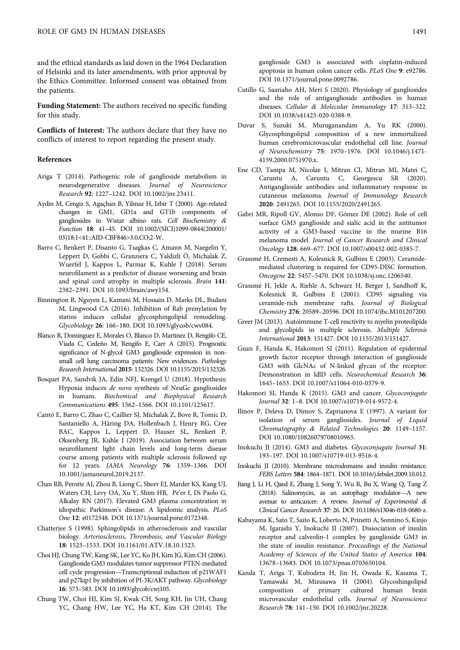and the ethical standards as laid down in the 1964 Declaration of Helsinki and its later amendments, with prior approval by the Ethics Committee. Informed consent was obtained from the patients.

Funding Statement: The authors received no specific funding for this study.

Conflicts of Interest: The authors declare that they have no conflicts of interest to report regarding the present study.

#### References

- <span id="page-6-1"></span>Ariga T (2014). Pathogenic role of ganglioside metabolism in neurodegenerative diseases. Journal of Neuroscience Research 92: 1227–1242. DOI [10.1002/jnr.23411](http://dx.doi.org/10.1002/jnr.23411).
- <span id="page-6-22"></span>Aydin M, Cengiz S, Agaçhan B, Yilmaz H, Izbir T (2000). Age-related changes in GM1, GD1a and GT1b components of gangliosides in Wistar albino rats. Cell Biochemistry & Function 18: 41–45. DOI [10.1002/\(SICI\)1099-0844\(200001/](http://dx.doi.org/10.1002/(SICI)1099-0844(200001/03)18:1%3C41::AID-CBF846%3E3.0.CO;2-W) [03\)18:1<41::AID-CBF846>3.0.CO;2-W.](http://dx.doi.org/10.1002/(SICI)1099-0844(200001/03)18:1%3C41::AID-CBF846%3E3.0.CO;2-W)
- <span id="page-6-7"></span>Barro C, Benkert P, Disanto G, Tsagkas C, Amann M, Naegelin Y, Leppert D, Gobbi C, Granziera C, Yaldizli Ö, Michalak Z, Wuerfel J, Kappos L, Parmar K, Kuhle J (2018). Serum neurofilament as a predictor of disease worsening and brain and spinal cord atrophy in multiple sclerosis. Brain 141: 2382–2391. DOI [10.1093/brain/awy154.](http://dx.doi.org/10.1093/brain/awy154)
- <span id="page-6-14"></span>Binnington B, Nguyen L, Kamani M, Hossain D, Marks DL, Budani M, Lingwood CA (2016). Inhibition of Rab prenylation by statins induces cellular glycosphingolipid remodeling. Glycobiology 26: 166–180. DOI [10.1093/glycob/cwv084](http://dx.doi.org/10.1093/glycob/cwv084).
- <span id="page-6-17"></span>Blanco R, Dominguez E, Morales O, Blanco D, Martinez D, Rengifo CE, Viada C, Cedeño M, Rengifo E, Carr A (2015). Prognostic significance of N-glycol GM3 ganglioside expression in nonsmall cell lung carcinoma patients: New evidences. Pathology Research International 2015: 132326. DOI [10.1155/2015/132326.](http://dx.doi.org/10.1155/2015/132326)
- <span id="page-6-13"></span>Bosquet PA, Sandvik JA, Edin NFJ, Krengel U (2018). Hypothesis: Hypoxia induces de novo synthesis of NeuGc gangliosides in humans. Biochemical and Biophysical Research Communications 495: 1562–1566. DOI [10.1101/125617](http://dx.doi.org/10.1101/125617).
- <span id="page-6-6"></span>Cantó E, Barro C, Zhao C, Caillier SJ, Michalak Z, Bove R, Tomic D, Santaniello A, Häring DA, Hollenbach J, Henry RG, Cree BAC, Kappos L, Leppert D, Hauser SL, Benkert P, Oksenberg JR, Kuhle J (2019). Association between serum neurofilament light chain levels and long-term disease course among patients with multiple sclerosis followed up for 12 years. JAMA Neurology 76: 1359–1366. DOI [10.1001/jamaneurol.2019.2137.](http://dx.doi.org/10.1001/jamaneurol.2019.2137)
- <span id="page-6-2"></span>Chan RB, Perotte AJ, Zhou B, Liong C, Shorr EJ, Marder KS, Kang UJ, Waters CH, Levy OA, Xu Y, Shim HB, Pe'er I, Di Paolo G, Alkalay RN (2017). Elevated GM3 plasma concentration in idiopathic Parkinson's disease: A lipidomic analysis. PLoS One 12: e0172348. DOI [10.1371/journal.pone.0172348](http://dx.doi.org/10.1371/journal.pone.0172348).
- <span id="page-6-0"></span>Chatterjee S (1998). Sphingolipids in atherosclerosis and vascular biology. Arteriosclerosis, Thrombosis, and Vascular Biology 18: 1523–1533. DOI [10.1161/01.ATV.18.10.1523](http://dx.doi.org/10.1161/01.ATV.18.10.1523).
- <span id="page-6-24"></span>Choi HJ, Chung TW, Kang SK, Lee YC, Ko JH, Kim JG, Kim CH (2006). Ganglioside GM3 modulates tumor suppressor PTEN-mediated cell cycle progression—Transcriptional induction of p21WAF1 and p27kip1 by inhibition of PI-3K/AKT pathway. Glycobiology 16: 573–583. DOI [10.1093/glycob/cwj105.](http://dx.doi.org/10.1093/glycob/cwj105)
- <span id="page-6-12"></span>Chung TW, Choi HJ, Kim SJ, Kwak CH, Song KH, Jin UH, Chang YC, Chang HW, Lee YC, Ha KT, Kim CH (2014). The

ganglioside GM3 is associated with cisplatin-induced apoptosis in human colon cancer cells. PLoS One 9: e92786. DOI [10.1371/journal.pone.0092786](http://dx.doi.org/10.1371/journal.pone.0092786).

- <span id="page-6-5"></span>Cutillo G, Saariaho AH, Meri S (2020). Physiology of gangliosides and the role of antiganglioside antibodies in human diseases. Cellular & Molecular Immunology 17: 313–322. DOI [10.1038/s41423-020-0388-9](http://dx.doi.org/10.1038/s41423-020-0388-9).
- <span id="page-6-4"></span>Duvar S, Suzuki M, Muruganandam A, Yu RK (2000). Glycosphingolipid composition of a new immortalized human cerebromicrovascular endothelial cell line. Journal of Neurochemistry 75: 1970–1976. DOI [10.1046/j.1471-](http://dx.doi.org/10.1046/j.1471-4159.2000.0751970.x) [4159.2000.0751970.x.](http://dx.doi.org/10.1046/j.1471-4159.2000.0751970.x)
- <span id="page-6-15"></span>Ene CD, Tampa M, Nicolae I, Mitran CI, Mitran MI, Matei C, Caruntu A, Caruntu C, Georgescu SR (2020). Antiganglioside antibodies and inflammatory response in cutaneous melanoma. Journal of Immunology Research 2020: 2491265. DOI [10.1155/2020/2491265](http://dx.doi.org/10.1155/2020/2491265).
- <span id="page-6-16"></span>Gabri MR, Ripoll GV, Alonso DF, Gómez DE (2002). Role of cell surface GM3 ganglioside and sialic acid in the antitumor activity of a GM3-based vaccine in the murine B16 melanoma model. Journal of Cancer Research and Clinical Oncology 128: 669–677. DOI [10.1007/s00432-002-0385-7.](http://dx.doi.org/10.1007/s00432-002-0385-7)
- <span id="page-6-11"></span>Grassmé H, Cremesti A, Kolesnick R, Gulbins E (2003). Ceramidemediated clustering is required for CD95-DISC formation. Oncogene 22: 5457–5470. DOI [10.1038/sj.onc.1206540](http://dx.doi.org/10.1038/sj.onc.1206540).
- <span id="page-6-8"></span>Grassmé H, Jekle A, Riehle A, Schwarz H, Berger J, Sandhoff K, Kolesnick R, Gulbins E (2001). CD95 signaling via ceramide-rich membrane rafts. Journal of Biological Chemistry 276: 20589–20596. DOI [10.1074/jbc.M101207200.](http://dx.doi.org/10.1074/jbc.M101207200)
- <span id="page-6-9"></span>Greer JM (2013). Autoimmune T-cell reactivity to myelin proteolipids and glycolipids in multiple sclerosis. Multiple Sclerosis International 2013: 151427. DOI [10.1155/2013/151427](http://dx.doi.org/10.1155/2013/151427).
- <span id="page-6-23"></span>Guan F, Handa K, Hakomori SI (2011). Regulation of epidermal growth factor receptor through interaction of ganglioside GM3 with GlcNAc of N-linked glycan of the receptor: Demonstration in ldlD cells. Neurochemical Research 36: 1645–1653. DOI [10.1007/s11064-010-0379-9.](http://dx.doi.org/10.1007/s11064-010-0379-9)
- <span id="page-6-3"></span>Hakomori SI, Handa K (2015). GM3 and cancer. Glycoconjugate Journal 32: 1–8. DOI [10.1007/s10719-014-9572-4.](http://dx.doi.org/10.1007/s10719-014-9572-4)
- <span id="page-6-10"></span>Ilinov P, Deleva D, Dimov S, Zaprianova E (1997). A variant for isolation of serum gangliosides. Journal of Liquid Chromatography & Related Technologies 20: 1149–1157. DOI [10.1080/10826079708010965.](http://dx.doi.org/10.1080/10826079708010965)
- <span id="page-6-18"></span>Inokuchi JI (2014). GM3 and diabetes. Glycoconjugate Journal 31: 193–197. DOI [10.1007/s10719-013-9516-4](http://dx.doi.org/10.1007/s10719-013-9516-4).
- <span id="page-6-25"></span>Inokuchi JI (2010). Membrane microdomains and insulin resistance. FEBS Letters 584: 1864–1871. DOI [10.1016/j.febslet.2009.10.012.](http://dx.doi.org/10.1016/j.febslet.2009.10.012)
- <span id="page-6-20"></span>Jiang J, Li H, Qaed E, Zhang J, Song Y, Wu R, Bu X, Wang Q, Tang Z (2018). Salinomycin, as an autophagy modulator—A new avenue to anticancer: A review. Journal of Experimental & Clinical Cancer Research 37: 26. DOI [10.1186/s13046-018-0680-z.](http://dx.doi.org/10.1186/s13046-018-0680-z)
- <span id="page-6-19"></span>Kabayama K, Sato T, Saito K, Loberto N, Prinetti A, Sonnino S, Kinjo M, Igarashi Y, Inokuchi JI (2007). Dissociation of insulin receptor and calveolin-1 complex by ganglioside GM3 in the state of insulin resistance. Proceedings of the National Academy of Sciences of the United States of America 104: 13678–13683. DOI [10.1073/pnas.0703650104.](http://dx.doi.org/10.1073/pnas.0703650104)
- <span id="page-6-21"></span>Kanda T, Ariga T, Kubodera H, Jin H, Owada K, Kasama T, Yamawaki M, Mizusawa H (2004). Glycoshingolipid composition of primary cultured human brain microvascular endothelial cells. Journal of Neuroscience Research 78: 141–150. DOI [10.1002/jnr.20228.](http://dx.doi.org/10.1002/jnr.20228)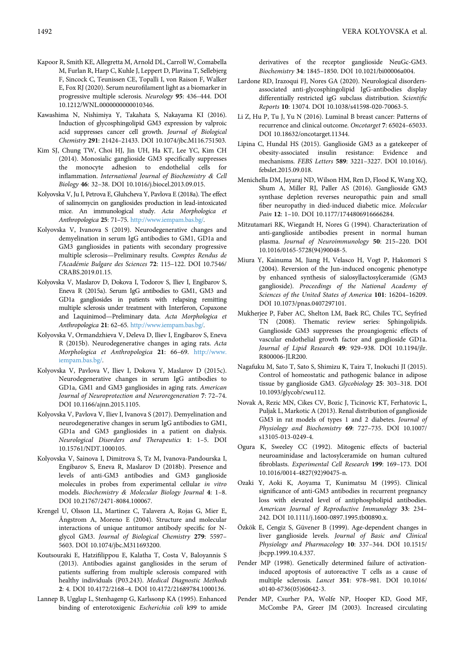- <span id="page-7-1"></span>Kapoor R, Smith KE, Allegretta M, Arnold DL, Carroll W, Comabella M, Furlan R, Harp C, Kuhle J, Leppert D, Plavina T, Sellebjerg F, Sincock C, Teunissen CE, Topalli I, von Raison F, Walker E, Fox RJ (2020). Serum neurofilament light as a biomarker in progressive multiple sclerosis. Neurology 95: 436–444. DOI [10.1212/WNL.0000000000010346](http://dx.doi.org/10.1212/WNL.0000000000010346).
- <span id="page-7-12"></span>Kawashima N, Nishimiya Y, Takahata S, Nakayama KI (2016). Induction of glycosphingolipid GM3 expression by valproic acid suppresses cancer cell growth. Journal of Biological Chemistry 291: 21424–21433. DOI [10.1074/jbc.M116.751503](http://dx.doi.org/10.1074/jbc.M116.751503).
- <span id="page-7-8"></span>Kim SJ, Chung TW, Choi HJ, Jin UH, Ha KT, Lee YC, Kim CH (2014). Monosialic ganglioside GM3 specifically suppresses the monocyte adhesion to endothelial cells for inflammation. International Journal of Biochemistry & Cell Biology 46: 32–38. DOI [10.1016/j.biocel.2013.09.015.](http://dx.doi.org/10.1016/j.biocel.2013.09.015)
- <span id="page-7-22"></span>Kolyovska V, Ju I, Petrova E, Gluhcheva Y, Pavlova E (2018a). The effect of salinomycin on gangliosides production in lead-intoxicated mice. An immunological study. Acta Morphologica et Anthropologica 25: 71–75. <http://www.iempam.bas.bg/>.
- <span id="page-7-6"></span>Kolyovska V, Ivanova S (2019). Neurodegenerative changes and demyelination in serum IgG antibodies to GM1, GD1a and GM3 gangliosides in patients with secondary progressive multiple sclerosis—Preliminary results. Comptes Rendus de l'Académie Bulgare des Sciences 72: 115–122. DOI [10.7546/](http://dx.doi.org/10.7546/CRABS.2019.01.15) [CRABS.2019.01.15](http://dx.doi.org/10.7546/CRABS.2019.01.15).
- <span id="page-7-7"></span>Kolyovska V, Maslarov D, Dokova I, Todorov S, Iliev I, Engibarov S, Eneva R (2015a). Serum IgG antibodies to GM1, GM3 and GD1a gangliosides in patients with relapsing remitting multiple sclerosis under treatment with Interferon, Copaxone and Laquinimod—Preliminary data. Acta Morphologica et Anthropologica 21: 62–65. <http://www.iempam.bas.bg/>.
- <span id="page-7-23"></span>Kolyovska V, Ormandzhieva V, Deleva D, Iliev I, Engibarov S, Eneva R (2015b). Neurodegenerative changes in aging rats. Acta Morphologica et Anthropologica 21: 66–69. [http://www.](http://www.iempam.bas.bg/) [iempam.bas.bg/](http://www.iempam.bas.bg/).
- <span id="page-7-24"></span>Kolyovska V, Pavlova V, Iliev I, Dokova Y, Maslarov D (2015c). Neurodegenerative changes in serum IgG antibodies to GD1a, GM1 and GM3 gangliosides in aging rats. American Journal of Neuroprotection and Neuroregeneration 7: 72–74. DOI [10.1166/ajnn.2015.1105.](http://dx.doi.org/10.1166/ajnn.2015.1105)
- <span id="page-7-21"></span>Kolyovska V, Pavlova V, Iliev I, Ivanova S (2017). Demyelination and neurodegenerative changes in serum IgG antibodies to GM1, GD1a and GM3 gangliosides in a patient on dialysis. Neurological Disorders and Therapeutics 1: 1–5. DOI [10.15761/NDT.1000105.](http://dx.doi.org/10.15761/NDT.1000105)
- <span id="page-7-13"></span>Kolyovska V, Sainova I, Dimitrova S, Tz M, Ivanova-Pandourska I, Engibarov S, Eneva R, Maslarov D (2018b). Presence and levels of anti-GM3 antibodies and GM3 ganglioside molecules in probes from experimental cellular in vitro models. Biochemistry & Molecular Biology Journal 4: 1–8. DOI [10.21767/2471-8084.100067](http://dx.doi.org/10.21767/2471-8084.100067).
- <span id="page-7-25"></span>Krengel U, Olsson LL, Martinez C, Talavera A, Rojas G, Mier E, Ångstrom A, Moreno E (2004). Structure and molecular interactions of unique antitumor antibody specific for Nglycol GM3. Journal of Biological Chemistry 279: 5597– 5603. DOI [10.1074/jbc.M311693200](http://dx.doi.org/10.1074/jbc.M311693200).
- <span id="page-7-2"></span>Koutsouraki E, Hatzifilippou E, Kalatha T, Costa V, Baloyannis S (2013). Antibodies against gangliosides in the serum of patients suffering from multiple sclerosis compared with healthy individuals (P03.243). Medical Diagnostic Methods 2: 4. DOI 10.4172/2168–4. DOI 10.4172/21689784.1000136.
- <span id="page-7-19"></span>Lanneр B, Ugglaр L, Stenhagenр G, Karlssonр KA (1995). Enhanced binding of enterotoxigenic Escherichia coli k99 to amide

derivatives of the receptor ganglioside NeuGc-GM3. Biochemistry 34: 1845–1850. DOI [10.1021/bi00006a004](http://dx.doi.org/10.1021/bi00006a004).

- <span id="page-7-0"></span>Lardone RD, Irazoqui FJ, Nores GA (2020). Neurological disordersassociated anti-glycosphingolipid IgG-antibodies display differentially restricted igG subclass distribution. Scientific Reports 10: 13074. DOI [10.1038/s41598-020-70063-5.](http://dx.doi.org/10.1038/s41598-020-70063-5)
- <span id="page-7-10"></span>Li Z, Hu P, Tu J, Yu N (2016). Luminal B breast cancer: Patterns of recurrence and clinical outcome. Oncotarget 7: 65024–65033. DOI [10.18632/oncotarget.11344.](http://dx.doi.org/10.18632/oncotarget.11344)
- <span id="page-7-14"></span>Lipina C, Hundal HS (2015). Ganglioside GM3 as a gatekeeper of obesity-associated insulin resistance: Evidence and mechanisms. FEBS Letters 589: 3221–3227. DOI [10.1016/j.](http://dx.doi.org/10.1016/j.febslet.2015.09.018) [febslet.2015.09.018.](http://dx.doi.org/10.1016/j.febslet.2015.09.018)
- <span id="page-7-15"></span>Menichella DM, Jayaraj ND, Wilson HM, Ren D, Flood K, Wang XQ, Shum A, Miller RJ, Paller AS (2016). Ganglioside GM3 synthase depletion reverses neuropathic pain and small fiber neuropathy in died-induced diabetic mice. Molecular Pain 12: 1-10. DOI [10.1177/1744806916666284](http://dx.doi.org/10.1177/1744806916666284).
- <span id="page-7-5"></span>Mitzutamari RK, Wiegandt H, Nores G (1994). Characterization of anti-ganglioside antibodies present in normal human plasma. Journal of Neuroimmunology 50: 215–220. DOI [10.1016/0165-5728\(94\)90048-5](http://dx.doi.org/10.1016/0165-5728(94)90048-5).
- <span id="page-7-26"></span>Miura Y, Kainuma M, Jiang H, Velasco H, Vogt P, Hakomori S (2004). Reversion of the Jun-induced oncogenic phenotype by enhanced synthesis of sialosyllactosylceramide (GM3 ganglioside). Proceedings of the National Academy of Sciences of the United States of America 101: 16204–16209. DOI [10.1073/pnas.0407297101](http://dx.doi.org/10.1073/pnas.0407297101).
- <span id="page-7-11"></span>Mukherjee P, Faber AC, Shelton LM, Baek RC, Chiles TC, Seyfried TN (2008). Thematic review series: Sphingolipids. Ganglioside GM3 suppresses the proangiogenic effects of vascular endothelial growth factor and ganglioside GD1a. Journal of Lipid Research 49: 929–938. DOI [10.1194/jlr.](http://dx.doi.org/10.1194/jlr.R800006-JLR200) [R800006-JLR200.](http://dx.doi.org/10.1194/jlr.R800006-JLR200)
- <span id="page-7-17"></span>Nagafuku M, Sato T, Sato S, Shimizu K, Taira T, Inokuchi JI (2015). Control of homeostatic and pathogenic balance in adipose tissue by ganglioside GM3. Glycobiology 25: 303–318. DOI [10.1093/glycob/cwu112](http://dx.doi.org/10.1093/glycob/cwu112).
- <span id="page-7-16"></span>Novak A, Rezic MN, Cikes CV, Bozic J, Ticinovic KT, Ferhatovic L, Puljak L, Markotic A (2013). Renal distribution of ganglioside GM3 in rat models of types 1 and 2 diabetes. Journal of Physiology and Biochemistry 69: 727–735. DOI [10.1007/](http://dx.doi.org/10.1007/s13105-013-0249-4) [s13105-013-0249-4.](http://dx.doi.org/10.1007/s13105-013-0249-4)
- <span id="page-7-9"></span>Ogura K, Sweeley CC (1992). Mitogenic effects of bacterial neuroaminidase and lactosylceramide on human cultured fibroblasts. Experimental Cell Research 199: 169–173. DOI [10.1016/0014-4827\(92\)90475-n.](http://dx.doi.org/10.1016/0014-4827(92)90475-n)
- <span id="page-7-20"></span>Ozaki Y, Aoki K, Aoyama T, Kunimatsu M (1995). Clinical significance of anti-GM3 antibodies in recurrent pregnancy loss with elevated level of antiphospholipid antibodies. American Journal of Reproductive Immunology 33: 234– 242. DOI [10.1111/j.1600-0897.1995.tb00890.x.](http://dx.doi.org/10.1111/j.1600-0897.1995.tb00890.x)
- <span id="page-7-18"></span>Özkök E, Cengiz S, Güvener B (1999). Age-dependent changes in liver ganglioside levels. Journal of Basic and Clinical Physiology and Pharmacology 10: 337–344. DOI [10.1515/](http://dx.doi.org/10.1515/jbcpp.1999.10.4.337) [jbcpp.1999.10.4.337.](http://dx.doi.org/10.1515/jbcpp.1999.10.4.337)
- <span id="page-7-3"></span>Pender MP (1998). Genetically determined failure of activationinduced apoptosis of autoreactive T cells as a cause of multiple sclerosis. Lancet 351: 978–981. DOI [10.1016/](http://dx.doi.org/10.1016/s0140-6736(05)60642-3) [s0140-6736\(05\)60642-3.](http://dx.doi.org/10.1016/s0140-6736(05)60642-3)
- <span id="page-7-4"></span>Pender MP, Csurher PA, Wolfe NP, Hooper KD, Good MF, McCombe PA, Greer JM (2003). Increased circulating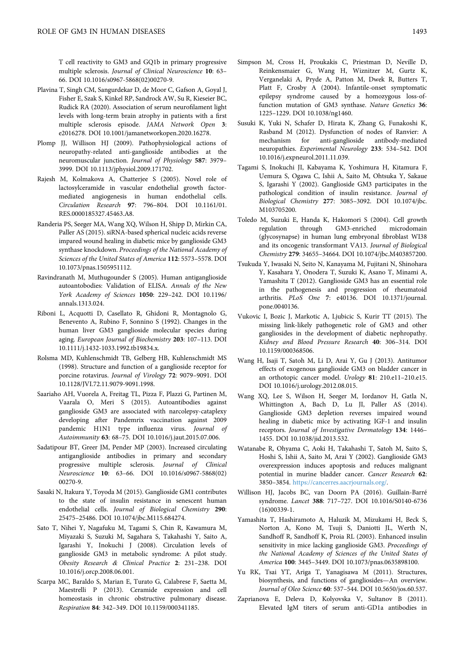T cell reactivity to GM3 and GQ1b in primary progressive multiple sclerosis. Journal of Clinical Neuroscience 10: 63– 66. DOI [10.1016/s0967-5868\(02\)00270-9](http://dx.doi.org/10.1016/s0967-5868(02)00270-9).

- <span id="page-8-2"></span>Plavina T, Singh CM, Sangurdekar D, de Moor C, Gafson A, Goyal J, Fisher E, Szak S, Kinkel RP, Sandrock AW, Su R, Kieseier BC, Rudick RA (2020). Association of serum neurofilament light levels with long-term brain atrophy in patients with a first multiple sclerosis episode. JAMA Network Open 3: e2016278. DOI [10.1001/jamanetworkopen.2020.16278](http://dx.doi.org/10.1001/jamanetworkopen.2020.16278).
- <span id="page-8-1"></span>Plomp JJ, Willison HJ (2009). Pathophysiological actions of neuropathy-related anti-ganglioside antibodies at the neuromuscular junction. Journal of Physiology 587: 3979– 3999. DOI [10.1113/jphysiol.2009.171702](http://dx.doi.org/10.1113/jphysiol.2009.171702).
- <span id="page-8-9"></span>Rajesh M, Kolmakova A, Chatterjee S (2005). Novel role of lactosylceramide in vascular endothelial growth factormediated angiogenesis in human endothelial cells. Circulation Research 97: 796–804. DOI [10.1161/01.](http://dx.doi.org/10.1161/01.RES.0000185327.45463.A8) [RES.0000185327.45463.A8.](http://dx.doi.org/10.1161/01.RES.0000185327.45463.A8)
- <span id="page-8-15"></span>Randeria PS, Seeger MA, Wang XQ, Wilson H, Shipp D, Mirkin CA, Paller AS (2015). siRNA-based spherical nucleic acids reverse impared wound healing in diabetic mice by ganglioside GM3 synthase knockdown. Proceedings of the National Academy of Sciences of the United States of America 112: 5573–5578. DOI [10.1073/pnas.1505951112](http://dx.doi.org/10.1073/pnas.1505951112).
- <span id="page-8-5"></span>Ravindranath M, Muthugounder S (2005). Human antiganglioside autoantobodies: Validation of ELISA. Annals of the New York Academy of Sciences 1050: 229–242. DOI [10.1196/](http://dx.doi.org/10.1196/annals.1313.024) [annals.1313.024](http://dx.doi.org/10.1196/annals.1313.024).
- <span id="page-8-20"></span>Riboni L, Acquotti D, Casellato R, Ghidoni R, Montagnolo G, Benevento A, Rubino F, Sonnino S (1992). Changes in the human liver GM3 ganglioside molecular species during aging. European Journal of Biochemistry 203: 107–113. DOI [10.1111/j.1432-1033.1992.tb19834.x](http://dx.doi.org/10.1111/j.1432-1033.1992.tb19834.x).
- <span id="page-8-21"></span>Rolsma MD, Kuhlenschmidt TB, Gelberg HB, Kuhlenschmidt MS (1998). Structure and function of a ganglioside receptor for porcine rotavirus. Journal of Virology 72: 9079–9091. DOI [10.1128/JVI.72.11.9079-9091.1998.](http://dx.doi.org/10.1128/JVI.72.11.9079-9091.1998)
- <span id="page-8-22"></span>Saariaho AH, Vuorela A, Freitag TL, Pizza F, Plazzi G, Partinen M, Vaarala O, Meri S (2015). Autoantibodies against ganglioside GM3 are associated with narcolepsy-cataplexy developing after Pandemrix vaccination against 2009 pandemic H1N1 type influenza virus. Journal of Autoimmunity 63: 68–75. DOI [10.1016/j.jaut.2015.07.006](http://dx.doi.org/10.1016/j.jaut.2015.07.006).
- <span id="page-8-4"></span>Sadatipour BT, Greer JM, Pender MP (2003). Increased circulating antiganglioside antibodies in primary and secondary progressive multiple sclerosis. Journal of Clinical Neuroscience 10: 63–66. DOI [10.1016/s0967-5868\(02\)](http://dx.doi.org/10.1016/s0967-5868(02)00270-9) [00270-9](http://dx.doi.org/10.1016/s0967-5868(02)00270-9).
- <span id="page-8-13"></span>Sasaki N, Itakura Y, Toyoda M (2015). Ganglioside GM1 contributes to the state of insulin resistance in senescent human endothelial cells. Journal of Biological Chemistry 290: 25475–25486. DOI [10.1074/jbc.M115.684274.](http://dx.doi.org/10.1074/jbc.M115.684274)
- <span id="page-8-18"></span>Sato T, Nihei Y, Nagafuku M, Tagami S, Chin R, Kawamura M, Miyazaki S, Suzuki M, Sagahara S, Takahashi Y, Saito A, Igarashi Y, Inokuchi J (2008). Circulation levels of ganglioside GM3 in metabolic syndrome: A pilot study. Obesity Research & Clinical Practice 2: 231–238. DOI [10.1016/j.orcp.2008.06.001.](http://dx.doi.org/10.1016/j.orcp.2008.06.001)
- <span id="page-8-14"></span>Scarpa MC, Baraldo S, Marian E, Turato G, Calabrese F, Saetta M, Maestrelli P (2013). Ceramide expression and cell homeostasis in chronic obstructive pulmonary disease. Respiration 84: 342–349. DOI [10.1159/000341185.](http://dx.doi.org/10.1159/000341185)
- <span id="page-8-24"></span>Simpson M, Cross H, Proukakis C, Priestman D, Neville D, Reinkensmaier G, Wang H, Wiznitzer M, Gurtz K, Verganelaki A, Pryde A, Patton M, Dwek R, Butters T, Platt F, Crosby A (2004). Infantile-onset symptomatic epilepsy syndrome caused by a homozygous loss-offunction mutation of GM3 synthase. Nature Genetics 36: 1225–1229. DOI [10.1038/ng1460.](http://dx.doi.org/10.1038/ng1460)
- <span id="page-8-3"></span>Susuki K, Yuki N, Schafer D, Hirata K, Zhang G, Funakoshi K, Rasband M (2012). Dysfunction of nodes of Ranvier: A mechanism for anti-ganglioside antibody-mediated neuropathies. Experimental Neurology 233: 534–542. DOI [10.1016/j.expneurol.2011.11.039.](http://dx.doi.org/10.1016/j.expneurol.2011.11.039)
- <span id="page-8-12"></span>Tagami S, Inokuchi JI, Kabayama K, Yoshimura H, Kitamura F, Uemura S, Ogawa C, Ishii A, Saito M, Ohtsuka Y, Sakaue S, Igarashi Y (2002). Ganglioside GM3 participates in the pathological condition of insulin resistance. Journal of Biological Chemistry 277: 3085–3092. DOI [10.1074/jbc.](http://dx.doi.org/10.1074/jbc.M103705200) [M103705200.](http://dx.doi.org/10.1074/jbc.M103705200)
- <span id="page-8-10"></span>Toledo M, Suzuki E, Handa K, Hakomori S (2004). Cell growth regulation through GM3-enriched microdomain (glycosynapse) in human lung embryonal fibroblast WI38 and its oncogenic transformant VA13. Journal of Biological Chemistry 279: 34655–34664. DOI [10.1074/jbc.M403857200.](http://dx.doi.org/10.1074/jbc.M403857200)
- <span id="page-8-7"></span>Tsukuda Y, Iwasaki N, Seito N, Kanayama M, Fujitani N, Shinohara Y, Kasahara Y, Onodera T, Suzuki K, Asano T, Minami A, Yamashita T (2012). Ganglioside GM3 has an essential role in the pathogenesis and progression of rheumatoid arthritis. PLoS One 7: e40136. DOI [10.1371/journal.](http://dx.doi.org/10.1371/journal.pone.0040136) [pone.0040136](http://dx.doi.org/10.1371/journal.pone.0040136).
- <span id="page-8-17"></span>Vukovic I, Bozic J, Markotic A, Ljubicic S, Kurir TT (2015). The missing link-likely pathogenetic role of GM3 and other gangliosides in the development of diabetic nephropathy. Kidney and Blood Pressure Research 40: 306–314. DOI [10.1159/000368506.](http://dx.doi.org/10.1159/000368506)
- <span id="page-8-11"></span>Wang H, Isaji T, Satoh M, Li D, Arai Y, Gu J (2013). Antitumor effects of exogenous ganglioside GM3 on bladder cancer in an orthotopic cancer model. Urology 81: 210.e11–210.e15. DOI [10.1016/j.urology.2012.08.015.](http://dx.doi.org/10.1016/j.urology.2012.08.015)
- <span id="page-8-16"></span>Wang XQ, Lee S, Wilson H, Seeger M, Iordanov H, Gatla N, Whittington A, Bach D, Lu JI, Paller AS (2014). Ganglioside GM3 depletion reverses impaired wound healing in diabetic mice by activating IGF-1 and insulin receptors. Journal of Investigative Dermatology 134: 1446– 1455. DOI [10.1038/jid.2013.532.](http://dx.doi.org/10.1038/jid.2013.532)
- <span id="page-8-23"></span>Watanabe R, Ohyama C, Aoki H, Takahashi T, Satoh M, Saito S, Hoshi S, Ishii A, Saito M, Arai Y (2002). Ganglioside GM3 overexpression induces apoptosis and reduces malignant potential in murine bladder cancer. Cancer Research 62: 3850–3854. <https://cancerres.aacrjournals.org/>.
- <span id="page-8-0"></span>Willison HJ, Jacobs BC, van Doorn PA (2016). Guillain-Barré syndrome. Lancet 388: 717–727. DOI [10.1016/S0140-6736](http://dx.doi.org/10.1016/S0140-6736(16)00339-1) [\(16\)00339-1](http://dx.doi.org/10.1016/S0140-6736(16)00339-1).
- <span id="page-8-19"></span>Yamashita T, Hashiramoto A, Haluzik M, Mizukami H, Beck S, Norton A, Kono M, Tsuji S, Daniotti JL, Werth N, Sandhoff R, Sandhoff K, Proia RL (2003). Enhanced insulin sensitivity in mice lacking ganglioside GM3. Proceedings of the National Academy of Sciences of the United States of America 100: 3445–3449. DOI [10.1073/pnas.0635898100.](http://dx.doi.org/10.1073/pnas.0635898100)
- <span id="page-8-8"></span>Yu RK, Tsai YT, Ariga T, Yanagisawa M (2011). Structures, biosynthesis, and functions of gangliosides—An overview. Journal of Oleo Science 60: 537–544. DOI [10.5650/jos.60.537.](http://dx.doi.org/10.5650/jos.60.537)
- <span id="page-8-6"></span>Zaprianova E, Deleva D, Kolyovska V, Sultanov B (2011). Elevated IgM titers of serum anti-GD1a antibodies in